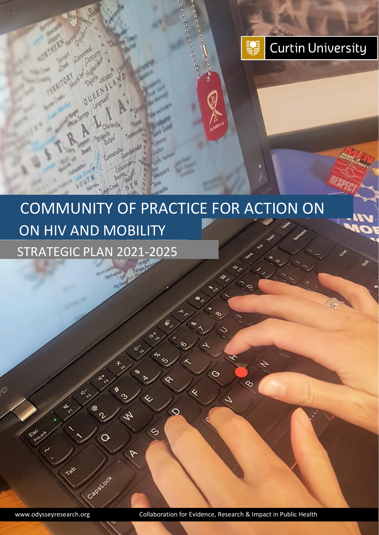

# ON HIV AND MOBILITY STRATEGIC PLAN 2021-2025 COMMUNITY OF PRACTICE FOR ACTION ON

S

Tab

CapeLook

X

O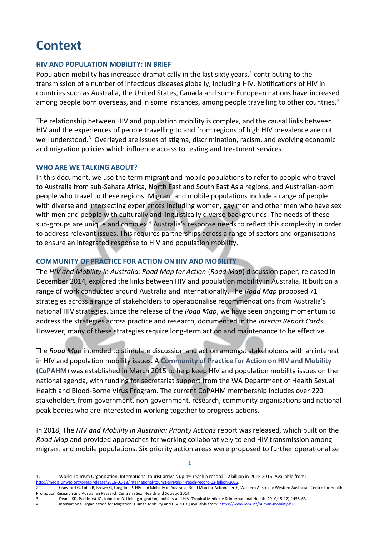### **Context**

#### **HIV AND POPULATION MOBILITY: IN BRIEF**

Population mobility has increased dramatically in the last sixty years, $<sup>1</sup>$  contributing to the</sup> transmission of a number of infectious diseases globally, including HIV. Notifications of HIV in countries such as Australia, the United States, Canada and some European nations have increased among people born overseas, and in some instances, among people travelling to other countries.<sup>2</sup>

The relationship between HIV and population mobility is complex, and the causal links between HIV and the experiences of people travelling to and from regions of high HIV prevalence are not well understood.<sup>3</sup> Overlayed are issues of stigma, discrimination, racism, and evolving economic and migration policies which influence access to testing and treatment services.

#### **WHO ARE WE TALKING ABOUT?**

In this document, we use the term migrant and mobile populations to refer to people who travel to Australia from sub-Sahara Africa, North East and South East Asia regions, and Australian-born people who travel to these regions. Migrant and mobile populations include a range of people with diverse and intersecting experiences including women, gay men and other men who have sex with men and people with culturally and linguistically diverse backgrounds. The needs of these sub-groups are unique and complex.<sup>4</sup> Australia's response needs to reflect this complexity in order to address relevant issues. This requires partnerships across a range of sectors and organisations to ensure an integrated response to HIV and population mobility.

#### **COMMUNITY OF PRACTICE FOR ACTION ON HIV AND MOBILITY**

The *HIV and Mobility in Australia: Road Map for Action* (*Road Map*) discussion paper*,* released in December 2014, explored the links between HIV and population mobility in Australia. It built on a range of work conducted around Australia and internationally. The *Road Map* proposed 71 strategies across a range of stakeholders to operationalise recommendations from Australia's national HIV strategies. Since the release of the *Road Map*, we have seen ongoing momentum to address the strategies across practice and research, documented in the *Interim Report Cards.*  However, many of these strategies require long-term action and maintenance to be effective.

The *Road Map* intended to stimulate discussion and action amongst stakeholders with an interest in HIV and population mobility issues. A **Community of Practice for Action on HIV and Mobility (CoPAHM**) was established in March 2015 to help keep HIV and population mobility issues on the national agenda, with funding for secretariat support from the WA Department of Health Sexual Health and Blood-Borne Virus Program. The current CoPAHM membership includes over 220 stakeholders from government, non-government, research, community organisations and national peak bodies who are interested in working together to progress actions.

In 2018, The *HIV and Mobility in Australia: Priority Actions* report was released, which built on the *Road Map* and provided approaches for working collaboratively to end HIV transmission among migrant and mobile populations. Six priority action areas were proposed to further operationalise

3. Deane KD, Parkhurst JO, Johnston D. Linking migration, mobility and HIV. Tropical Medicine & International Health. 2010;15(12):1458-63.<br>4. International Organization for Migration. Human Mobility and HIV 2018 [Available

<sup>1.</sup> World Tourism Organization. International tourist arrivals up 4% reach a record 1.2 billion in 2015 2016. Available from: [http://media.unwto.org/press-release/2016-01-18/international-tourist-arrivals-4-reach-record-12-billion-2015.](http://media.unwto.org/press-release/2016-01-18/international-tourist-arrivals-4-reach-record-12-billion-2015)

<sup>2.</sup> Crawford G, Lobo R, Brown G, Langdon P. HIV and Mobility in Australia: Road Map for Action. Perth, Western Australia: Western Australian Centre for Health Promotion Research and Australian Research Centre in Sex, Health and Society; 2014.

International Organization for Migration. Human Mobility and HIV 2018 [Available from[: https://www.iom.int/human-mobility-hiv.](https://www.iom.int/human-mobility-hiv)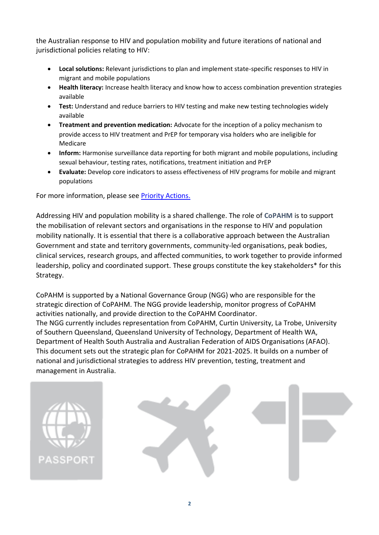the Australian response to HIV and population mobility and future iterations of national and jurisdictional policies relating to HIV:

- **Local solutions:** Relevant jurisdictions to plan and implement state-specific responses to HIV in migrant and mobile populations
- **Health literacy:** Increase health literacy and know how to access combination prevention strategies available
- **Test:** Understand and reduce barriers to HIV testing and make new testing technologies widely available
- **Treatment and prevention medication:** Advocate for the inception of a policy mechanism to provide access to HIV treatment and PrEP for temporary visa holders who are ineligible for Medicare
- **Inform:** Harmonise surveillance data reporting for both migrant and mobile populations, including sexual behaviour, testing rates, notifications, treatment initiation and PrEP
- **Evaluate:** Develop core indicators to assess effectiveness of HIV programs for mobile and migrant populations

For more information, please see [Priority Actions.](https://siren.org.au/wp-content/uploads/2018/11/HIVandMobilityinAustraliaPriorityActions_CoPAHM.pdf)

Addressing HIV and population mobility is a shared challenge. The role of **CoPAHM** is to support the mobilisation of relevant sectors and organisations in the response to HIV and population mobility nationally. It is essential that there is a collaborative approach between the Australian Government and state and territory governments, community-led organisations, peak bodies, clinical services, research groups, and affected communities, to work together to provide informed leadership, policy and coordinated support. These groups constitute the key stakeholders\* for this Strategy.

CoPAHM is supported by a National Governance Group (NGG) who are responsible for the strategic direction of CoPAHM. The NGG provide leadership, monitor progress of CoPAHM activities nationally, and provide direction to the CoPAHM Coordinator. The NGG currently includes representation from CoPAHM, Curtin University, La Trobe, University of Southern Queensland, Queensland University of Technology, Department of Health WA, Department of Health South Australia and Australian Federation of AIDS Organisations (AFAO). This document sets out the strategic plan for CoPAHM for 2021-2025. It builds on a number of national and jurisdictional strategies to address HIV prevention, testing, treatment and management in Australia.



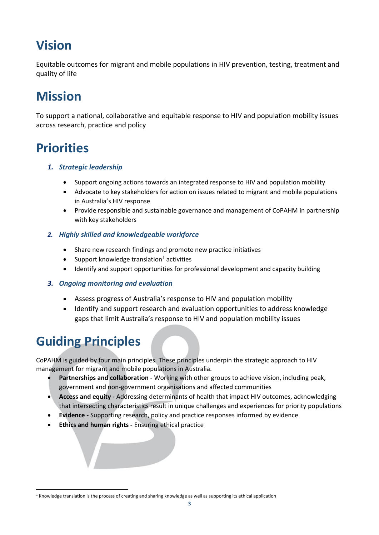### **Vision**

Equitable outcomes for migrant and mobile populations in HIV prevention, testing, treatment and quality of life

## **Mission**

To support a national, collaborative and equitable response to HIV and population mobility issues across research, practice and policy

### **Priorities**

- *1. Strategic leadership*
	- Support ongoing actions towards an integrated response to HIV and population mobility
	- Advocate to key stakeholders for action on issues related to migrant and mobile populations in Australia's HIV response
	- Provide responsible and sustainable governance and management of CoPAHM in partnership with key stakeholders

### *2. Highly skilled and knowledgeable workforce*

- Share new research findings and promote new practice initiatives
- Support knowledge translation<sup>1</sup> activities
- Identify and support opportunities for professional development and capacity building

### *3. Ongoing monitoring and evaluation*

- Assess progress of Australia's response to HIV and population mobility
- Identify and support research and evaluation opportunities to address knowledge gaps that limit Australia's response to HIV and population mobility issues

### **Guiding Principles**

CoPAHM is guided by four main principles. These principles underpin the strategic approach to HIV management for migrant and mobile populations in Australia.

- **Partnerships and collaboration -** Working with other groups to achieve vision, including peak, government and non-government organisations and affected communities
- **Access and equity -** Addressing determinants of health that impact HIV outcomes, acknowledging that intersecting characteristics result in unique challenges and experiences for priority populations
- **Evidence -** Supporting research, policy and practice responses informed by evidence
- **Ethics and human rights -** Ensuring ethical practice

<sup>1</sup> Knowledge translation is the process of creating and sharing knowledge as well as supporting its ethical application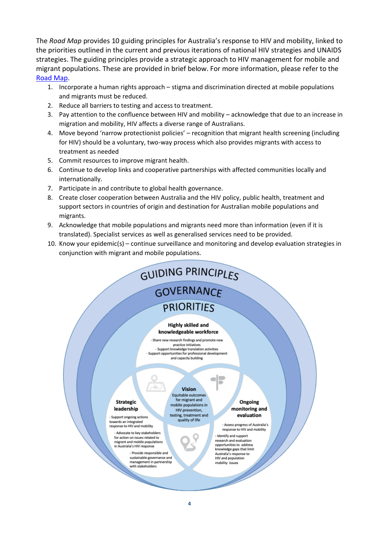The *Road Map* provides 10 guiding principles for Australia's response to HIV and mobility, linked to the priorities outlined in the current and previous iterations of national HIV strategies and UNAIDS strategies. The guiding principles provide a strategic approach to HIV management for mobile and migrant populations. These are provided in brief below. For more information, please refer to the [Road Map.](https://siren.org.au/wp-content/uploads/2016/08/HIV_and_Mobility_Report.pdf)

- 1. Incorporate a human rights approach stigma and discrimination directed at mobile populations and migrants must be reduced.
- 2. Reduce all barriers to testing and access to treatment.
- 3. Pay attention to the confluence between HIV and mobility acknowledge that due to an increase in migration and mobility, HIV affects a diverse range of Australians.
- 4. Move beyond 'narrow protectionist policies' recognition that migrant health screening (including for HIV) should be a voluntary, two-way process which also provides migrants with access to treatment as needed
- 5. Commit resources to improve migrant health.
- 6. Continue to develop links and cooperative partnerships with affected communities locally and internationally.
- 7. Participate in and contribute to global health governance.
- 8. Create closer cooperation between Australia and the HIV policy, public health, treatment and support sectors in countries of origin and destination for Australian mobile populations and migrants.
- 9. Acknowledge that mobile populations and migrants need more than information (even if it is translated). Specialist services as well as generalised services need to be provided.
- 10. Know your epidemic(s) continue surveillance and monitoring and develop evaluation strategies in conjunction with migrant and mobile populations.

#### GUIDING PRINCIPLES **GOVERNANCF PRIORITIES Highly skilled and** knowledgeable workforce - Share new research findings and promote new practice initiatives - Support knowledge translation activities - Support opportunities for professional development and capacity building Vision Equitable outcomes for migrant and **Strategic** Ongoing mobile populations in monitoring and leadership HIV prevention, testing, treatment and evaluation - Support ongoing actions quality of life towards an integrated<br>response to HIV and mobility - Assess progress of Australia's response to HIV and mobility Advocate to key stakeholders - Identify and support for action on issues related to research and evaluation migrant and mobile populatio opportunities to address in Australia's HIV response knowledge gaps that limit Australia's response to<br>HIV and population

**4**

mobility issues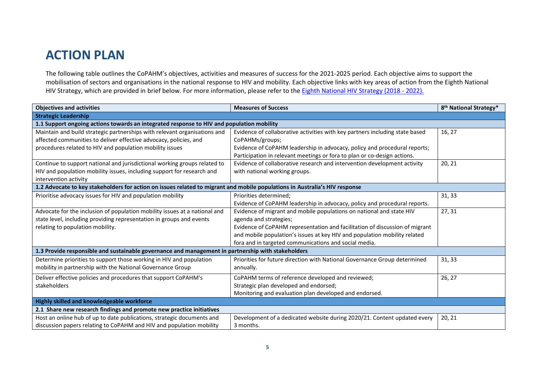### **ACTION PLAN**

The following table outlines the CoPAHM's objectives, activities and measures of success for the 2021-2025 period. Each objective aims to support the mobilisation of sectors and organisations in the national response to HIV and mobility. Each objective links with key areas of action from the Eighth National HIV Strategy, which are provided in brief below. For more information, please refer to the **Eighth National HIV Strategy (2018 - 2022)**.

| <b>Objectives and activities</b>                                                                                            | <b>Measures of Success</b>                                                   | 8 <sup>th</sup> National Strategy* |  |
|-----------------------------------------------------------------------------------------------------------------------------|------------------------------------------------------------------------------|------------------------------------|--|
| <b>Strategic Leadership</b>                                                                                                 |                                                                              |                                    |  |
| 1.1 Support ongoing actions towards an integrated response to HIV and population mobility                                   |                                                                              |                                    |  |
| Maintain and build strategic partnerships with relevant organisations and                                                   | Evidence of collaborative activities with key partners including state based | 16, 27                             |  |
| affected communities to deliver effective advocacy, policies, and                                                           | CoPAHMs/groups;                                                              |                                    |  |
| procedures related to HIV and population mobility issues                                                                    | Evidence of CoPAHM leadership in advocacy, policy and procedural reports;    |                                    |  |
|                                                                                                                             | Participation in relevant meetings or fora to plan or co-design actions.     |                                    |  |
| Continue to support national and jurisdictional working groups related to                                                   | Evidence of collaborative research and intervention development activity     | 20, 21                             |  |
| HIV and population mobility issues, including support for research and                                                      | with national working groups.                                                |                                    |  |
| intervention activity                                                                                                       |                                                                              |                                    |  |
| 1.2 Advocate to key stakeholders for action on issues related to migrant and mobile populations in Australia's HIV response |                                                                              |                                    |  |
| Prioritise advocacy issues for HIV and population mobility                                                                  | Priorities determined:                                                       | 31, 33                             |  |
|                                                                                                                             | Evidence of CoPAHM leadership in advocacy, policy and procedural reports.    |                                    |  |
| Advocate for the inclusion of population mobility issues at a national and                                                  | Evidence of migrant and mobile populations on national and state HIV         | 27, 31                             |  |
| state level, including providing representation in groups and events                                                        | agenda and strategies;                                                       |                                    |  |
| relating to population mobility.                                                                                            | Evidence of CoPAHM representation and facilitation of discussion of migrant  |                                    |  |
|                                                                                                                             | and mobile population's issues at key HIV and population mobility related    |                                    |  |
|                                                                                                                             | fora and in targeted communications and social media.                        |                                    |  |
| 1.3 Provide responsible and sustainable governance and management in partnership with stakeholders                          |                                                                              |                                    |  |
| Determine priorities to support those working in HIV and population                                                         | Priorities for future direction with National Governance Group determined    | 31, 33                             |  |
| mobility in partnership with the National Governance Group                                                                  | annually.                                                                    |                                    |  |
| Deliver effective policies and procedures that support CoPAHM's                                                             | CoPAHM terms of reference developed and reviewed;                            | 26, 27                             |  |
| stakeholders                                                                                                                | Strategic plan developed and endorsed;                                       |                                    |  |
|                                                                                                                             | Monitoring and evaluation plan developed and endorsed.                       |                                    |  |
| Highly skilled and knowledgeable workforce                                                                                  |                                                                              |                                    |  |
| 2.1 Share new research findings and promote new practice initiatives                                                        |                                                                              |                                    |  |
| Host an online hub of up to date publications, strategic documents and                                                      | Development of a dedicated website during 2020/21. Content updated every     | 20, 21                             |  |
| discussion papers relating to CoPAHM and HIV and population mobility                                                        | 3 months.                                                                    |                                    |  |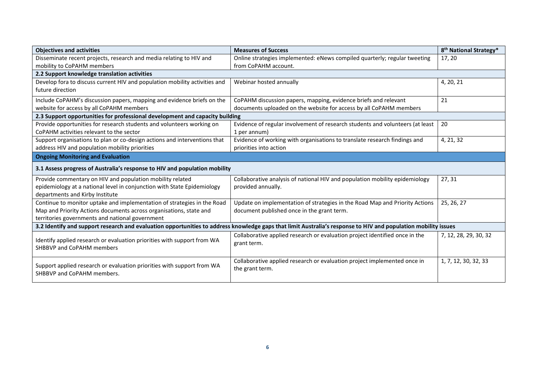| <b>Objectives and activities</b>                                                                     | <b>Measures of Success</b>                                                                                                                                     | 8 <sup>th</sup> National Strategy* |  |
|------------------------------------------------------------------------------------------------------|----------------------------------------------------------------------------------------------------------------------------------------------------------------|------------------------------------|--|
| Disseminate recent projects, research and media relating to HIV and                                  | Online strategies implemented: eNews compiled quarterly; regular tweeting                                                                                      | 17, 20                             |  |
| mobility to CoPAHM members                                                                           | from CoPAHM account.                                                                                                                                           |                                    |  |
| 2.2 Support knowledge translation activities                                                         |                                                                                                                                                                |                                    |  |
| Develop fora to discuss current HIV and population mobility activities and                           | Webinar hosted annually                                                                                                                                        | 4, 20, 21                          |  |
| future direction                                                                                     |                                                                                                                                                                |                                    |  |
| Include CoPAHM's discussion papers, mapping and evidence briefs on the                               | CoPAHM discussion papers, mapping, evidence briefs and relevant                                                                                                | 21                                 |  |
| website for access by all CoPAHM members                                                             | documents uploaded on the website for access by all CoPAHM members                                                                                             |                                    |  |
| 2.3 Support opportunities for professional development and capacity building                         |                                                                                                                                                                |                                    |  |
| Provide opportunities for research students and volunteers working on                                | Evidence of regular involvement of research students and volunteers (at least                                                                                  | 20                                 |  |
| CoPAHM activities relevant to the sector                                                             | 1 per annum)                                                                                                                                                   |                                    |  |
| Support organisations to plan or co-design actions and interventions that                            | Evidence of working with organisations to translate research findings and                                                                                      | 4, 21, 32                          |  |
| address HIV and population mobility priorities                                                       | priorities into action                                                                                                                                         |                                    |  |
| <b>Ongoing Monitoring and Evaluation</b>                                                             |                                                                                                                                                                |                                    |  |
|                                                                                                      |                                                                                                                                                                |                                    |  |
| 3.1 Assess progress of Australia's response to HIV and population mobility                           |                                                                                                                                                                |                                    |  |
| Provide commentary on HIV and population mobility related                                            | Collaborative analysis of national HIV and population mobility epidemiology                                                                                    | 27, 31                             |  |
| epidemiology at a national level in conjunction with State Epidemiology                              | provided annually.                                                                                                                                             |                                    |  |
| departments and Kirby Institute                                                                      |                                                                                                                                                                |                                    |  |
| Continue to monitor uptake and implementation of strategies in the Road                              | Update on implementation of strategies in the Road Map and Priority Actions                                                                                    | 25, 26, 27                         |  |
| Map and Priority Actions documents across organisations, state and                                   | document published once in the grant term.                                                                                                                     |                                    |  |
| territories governments and national government                                                      |                                                                                                                                                                |                                    |  |
|                                                                                                      | 3.2 Identify and support research and evaluation opportunities to address knowledge gaps that limit Australia's response to HIV and population mobility issues |                                    |  |
|                                                                                                      | Collaborative applied research or evaluation project identified once in the                                                                                    | 7, 12, 28, 29, 30, 32              |  |
| Identify applied research or evaluation priorities with support from WA                              | grant term.                                                                                                                                                    |                                    |  |
| <b>SHBBVP and CoPAHM members</b>                                                                     |                                                                                                                                                                |                                    |  |
|                                                                                                      | Collaborative applied research or evaluation project implemented once in                                                                                       | 1, 7, 12, 30, 32, 33               |  |
| Support applied research or evaluation priorities with support from WA<br>SHBBVP and CoPAHM members. | the grant term.                                                                                                                                                |                                    |  |